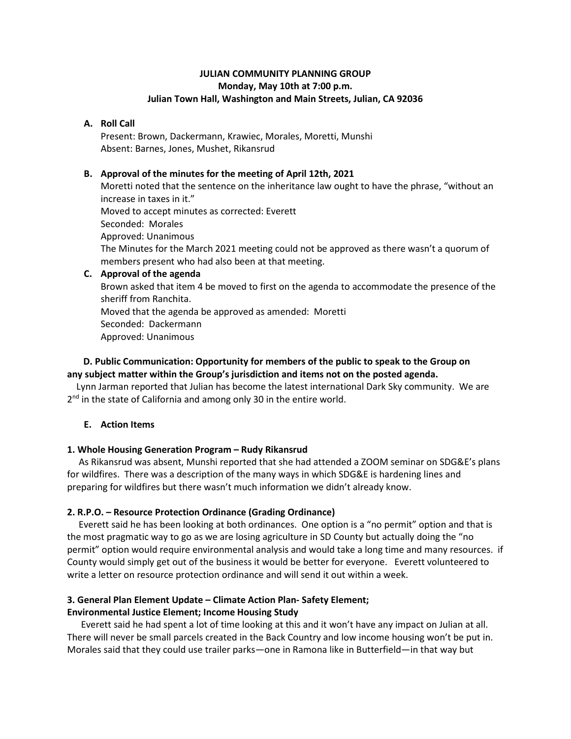# **JULIAN COMMUNITY PLANNING GROUP Monday, May 10th at 7:00 p.m. Julian Town Hall, Washington and Main Streets, Julian, CA 92036**

### **A. Roll Call**

Present: Brown, Dackermann, Krawiec, Morales, Moretti, Munshi Absent: Barnes, Jones, Mushet, Rikansrud

### **B. Approval of the minutes for the meeting of April 12th, 2021**

Moretti noted that the sentence on the inheritance law ought to have the phrase, "without an increase in taxes in it." Moved to accept minutes as corrected: Everett Seconded: Morales Approved: Unanimous The Minutes for the March 2021 meeting could not be approved as there wasn't a quorum of members present who had also been at that meeting.

### **C. Approval of the agenda**

Brown asked that item 4 be moved to first on the agenda to accommodate the presence of the sheriff from Ranchita.

Moved that the agenda be approved as amended: Moretti Seconded: Dackermann

Approved: Unanimous

# **D. Public Communication: Opportunity for members of the public to speak to the Group on any subject matter within the Group's jurisdiction and items not on the posted agenda.**

Lynn Jarman reported that Julian has become the latest international Dark Sky community. We are 2<sup>nd</sup> in the state of California and among only 30 in the entire world.

# **E. Action Items**

# **1. Whole Housing Generation Program – Rudy Rikansrud**

As Rikansrud was absent, Munshi reported that she had attended a ZOOM seminar on SDG&E's plans for wildfires. There was a description of the many ways in which SDG&E is hardening lines and preparing for wildfires but there wasn't much information we didn't already know.

# **2. R.P.O. – Resource Protection Ordinance (Grading Ordinance)**

Everett said he has been looking at both ordinances. One option is a "no permit" option and that is the most pragmatic way to go as we are losing agriculture in SD County but actually doing the "no permit" option would require environmental analysis and would take a long time and many resources. if County would simply get out of the business it would be better for everyone. Everett volunteered to write a letter on resource protection ordinance and will send it out within a week.

# **3. General Plan Element Update – Climate Action Plan- Safety Element;**

# **Environmental Justice Element; Income Housing Study**

Everett said he had spent a lot of time looking at this and it won't have any impact on Julian at all. There will never be small parcels created in the Back Country and low income housing won't be put in. Morales said that they could use trailer parks—one in Ramona like in Butterfield—in that way but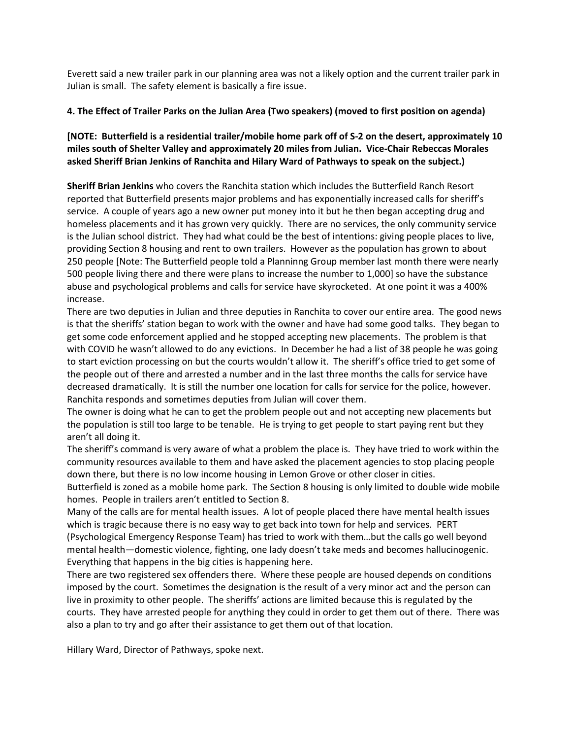Everett said a new trailer park in our planning area was not a likely option and the current trailer park in Julian is small. The safety element is basically a fire issue.

# **4. The Effect of Trailer Parks on the Julian Area (Two speakers) (moved to first position on agenda)**

# **[NOTE: Butterfield is a residential trailer/mobile home park off of S-2 on the desert, approximately 10 miles south of Shelter Valley and approximately 20 miles from Julian. Vice-Chair Rebeccas Morales asked Sheriff Brian Jenkins of Ranchita and Hilary Ward of Pathways to speak on the subject.)**

**Sheriff Brian Jenkins** who covers the Ranchita station which includes the Butterfield Ranch Resort reported that Butterfield presents major problems and has exponentially increased calls for sheriff's service. A couple of years ago a new owner put money into it but he then began accepting drug and homeless placements and it has grown very quickly. There are no services, the only community service is the Julian school district. They had what could be the best of intentions: giving people places to live, providing Section 8 housing and rent to own trailers. However as the population has grown to about 250 people [Note: The Butterfield people told a Planninng Group member last month there were nearly 500 people living there and there were plans to increase the number to 1,000] so have the substance abuse and psychological problems and calls for service have skyrocketed. At one point it was a 400% increase.

There are two deputies in Julian and three deputies in Ranchita to cover our entire area. The good news is that the sheriffs' station began to work with the owner and have had some good talks. They began to get some code enforcement applied and he stopped accepting new placements. The problem is that with COVID he wasn't allowed to do any evictions. In December he had a list of 38 people he was going to start eviction processing on but the courts wouldn't allow it. The sheriff's office tried to get some of the people out of there and arrested a number and in the last three months the calls for service have decreased dramatically. It is still the number one location for calls for service for the police, however. Ranchita responds and sometimes deputies from Julian will cover them.

The owner is doing what he can to get the problem people out and not accepting new placements but the population is still too large to be tenable. He is trying to get people to start paying rent but they aren't all doing it.

The sheriff's command is very aware of what a problem the place is. They have tried to work within the community resources available to them and have asked the placement agencies to stop placing people down there, but there is no low income housing in Lemon Grove or other closer in cities.

Butterfield is zoned as a mobile home park. The Section 8 housing is only limited to double wide mobile homes. People in trailers aren't entitled to Section 8.

Many of the calls are for mental health issues. A lot of people placed there have mental health issues which is tragic because there is no easy way to get back into town for help and services. PERT (Psychological Emergency Response Team) has tried to work with them…but the calls go well beyond mental health—domestic violence, fighting, one lady doesn't take meds and becomes hallucinogenic. Everything that happens in the big cities is happening here.

There are two registered sex offenders there. Where these people are housed depends on conditions imposed by the court. Sometimes the designation is the result of a very minor act and the person can live in proximity to other people. The sheriffs' actions are limited because this is regulated by the courts. They have arrested people for anything they could in order to get them out of there. There was also a plan to try and go after their assistance to get them out of that location.

Hillary Ward, Director of Pathways, spoke next.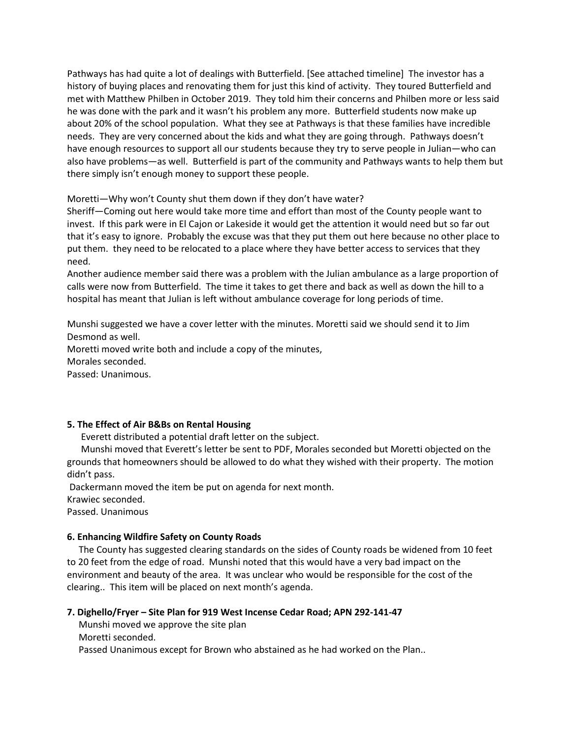Pathways has had quite a lot of dealings with Butterfield. [See attached timeline] The investor has a history of buying places and renovating them for just this kind of activity. They toured Butterfield and met with Matthew Philben in October 2019. They told him their concerns and Philben more or less said he was done with the park and it wasn't his problem any more. Butterfield students now make up about 20% of the school population. What they see at Pathways is that these families have incredible needs. They are very concerned about the kids and what they are going through. Pathways doesn't have enough resources to support all our students because they try to serve people in Julian—who can also have problems—as well. Butterfield is part of the community and Pathways wants to help them but there simply isn't enough money to support these people.

Moretti—Why won't County shut them down if they don't have water?

Sheriff—Coming out here would take more time and effort than most of the County people want to invest. If this park were in El Cajon or Lakeside it would get the attention it would need but so far out that it's easy to ignore. Probably the excuse was that they put them out here because no other place to put them. they need to be relocated to a place where they have better access to services that they need.

Another audience member said there was a problem with the Julian ambulance as a large proportion of calls were now from Butterfield. The time it takes to get there and back as well as down the hill to a hospital has meant that Julian is left without ambulance coverage for long periods of time.

Munshi suggested we have a cover letter with the minutes. Moretti said we should send it to Jim Desmond as well.

Moretti moved write both and include a copy of the minutes, Morales seconded. Passed: Unanimous.

# **5. The Effect of Air B&Bs on Rental Housing**

Everett distributed a potential draft letter on the subject.

 Munshi moved that Everett's letter be sent to PDF, Morales seconded but Moretti objected on the grounds that homeowners should be allowed to do what they wished with their property. The motion didn't pass.

Dackermann moved the item be put on agenda for next month. Krawiec seconded.

Passed. Unanimous

# **6. Enhancing Wildfire Safety on County Roads**

The County has suggested clearing standards on the sides of County roads be widened from 10 feet to 20 feet from the edge of road. Munshi noted that this would have a very bad impact on the environment and beauty of the area. It was unclear who would be responsible for the cost of the clearing.. This item will be placed on next month's agenda.

# **7. Dighello/Fryer – Site Plan for 919 West Incense Cedar Road; APN 292-141-47**

Munshi moved we approve the site plan

Moretti seconded.

Passed Unanimous except for Brown who abstained as he had worked on the Plan..